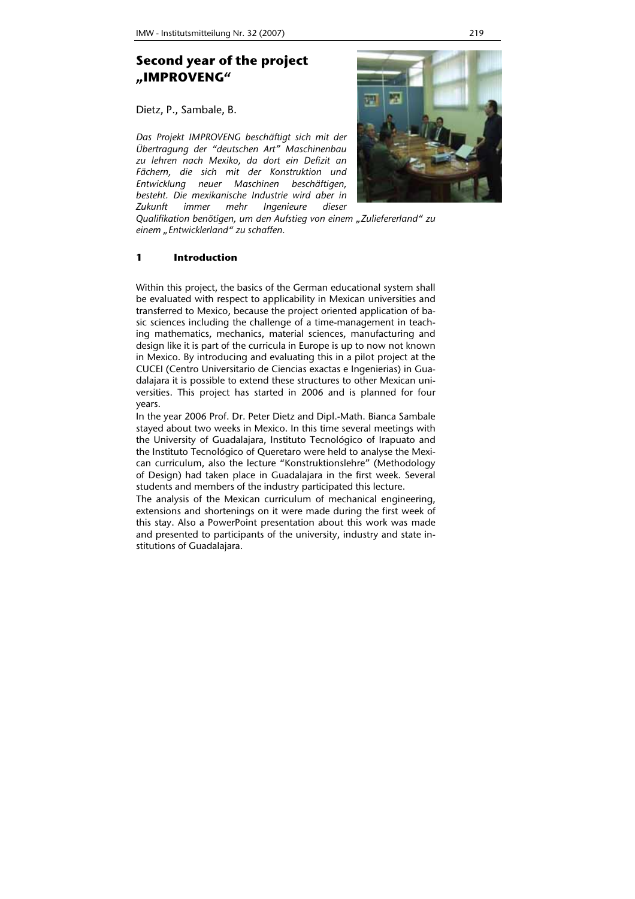# **Second year of the project "IMPROVENG"**

Dietz, P., Sambale, B.

*Das Projekt IMPROVENG beschäftigt sich mit der Übertragung der "deutschen Art" Maschinenbau zu lehren nach Mexiko, da dort ein Defizit an Fächern, die sich mit der Konstruktion und Entwicklung neuer Maschinen beschäftigen, besteht. Die mexikanische Industrie wird aber in Zukunft immer mehr Ingenieure dieser* 



*Qualifikation benötigen, um den Aufstieg von einem "Zuliefererland" zu einem "Entwicklerland" zu schaffen.* 

# **1 Introduction**

Within this project, the basics of the German educational system shall be evaluated with respect to applicability in Mexican universities and transferred to Mexico, because the project oriented application of basic sciences including the challenge of a time-management in teaching mathematics, mechanics, material sciences, manufacturing and design like it is part of the curricula in Europe is up to now not known in Mexico. By introducing and evaluating this in a pilot project at the CUCEI (Centro Universitario de Ciencias exactas e Ingenierias) in Guadalajara it is possible to extend these structures to other Mexican universities. This project has started in 2006 and is planned for four years.

In the year 2006 Prof. Dr. Peter Dietz and Dipl.-Math. Bianca Sambale stayed about two weeks in Mexico. In this time several meetings with the University of Guadalajara, Instituto Tecnológico of Irapuato and the Instituto Tecnológico of Queretaro were held to analyse the Mexican curriculum, also the lecture "Konstruktionslehre" (Methodology of Design) had taken place in Guadalajara in the first week. Several students and members of the industry participated this lecture.

The analysis of the Mexican curriculum of mechanical engineering, extensions and shortenings on it were made during the first week of this stay. Also a PowerPoint presentation about this work was made and presented to participants of the university, industry and state institutions of Guadalajara.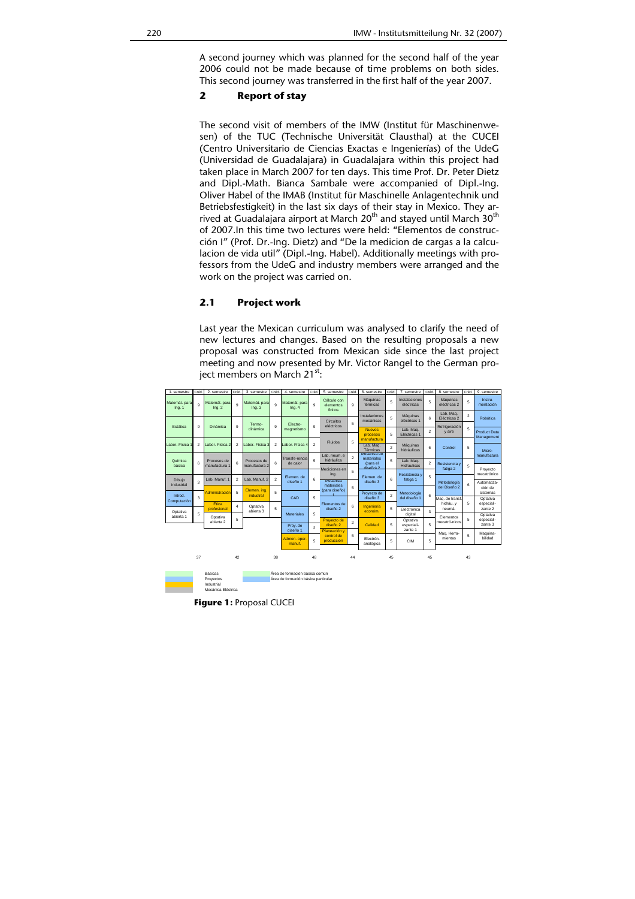A second journey which was planned for the second half of the year 2006 could not be made because of time problems on both sides. This second journey was transferred in the first half of the year 2007.

## **2 Report of stay**

The second visit of members of the IMW (Institut für Maschinenwesen) of the TUC (Technische Universität Clausthal) at the CUCEI (Centro Universitario de Ciencias Exactas e Ingenierías) of the UdeG (Universidad de Guadalajara) in Guadalajara within this project had taken place in March 2007 for ten days. This time Prof. Dr. Peter Dietz and Dipl.-Math. Bianca Sambale were accompanied of Dipl.-Ing. Oliver Habel of the IMAB (Institut für Maschinelle Anlagentechnik und Betriebsfestigkeit) in the last six days of their stay in Mexico. They arrived at Guadalajara airport at March  $20<sup>th</sup>$  and stayed until March  $30<sup>th</sup>$ of 2007.In this time two lectures were held: "Elementos de construcción I" (Prof. Dr.-Ing. Dietz) and "De la medicion de cargas a la calculacion de vida util" (Dipl.-Ing. Habel). Additionally meetings with professors from the UdeG and industry members were arranged and the work on the project was carried on.

#### **2.1 Project work**

Last year the Mexican curriculum was analysed to clarify the need of new lectures and changes. Based on the resulting proposals a new proposal was constructed from Mexican side since the last project meeting and now presented by Mr. Victor Rangel to the German proiect members on March  $21^{st}$ :

| 1. semestre             | Créd                                             | 2. semestre                     | Créd                | 3. semestre                                     | Créd.                                 | 4. semestre                                                            | Créd                     | 5. semestre                         | Créd                    | 6. semestre                | Créd.              | 7. semestre                     | Créd                         | 8. semestre               | Créd                   | 9. semestre                       |
|-------------------------|--------------------------------------------------|---------------------------------|---------------------|-------------------------------------------------|---------------------------------------|------------------------------------------------------------------------|--------------------------|-------------------------------------|-------------------------|----------------------------|--------------------|---------------------------------|------------------------------|---------------------------|------------------------|-----------------------------------|
| Matemát, para<br>Inq. 1 | $\mathbf{Q}$                                     | Matemát, para<br>Inq.2          | $\overline{a}$      | Matemát, para<br>Ina.3                          | o                                     | Matemát, para<br>Ina.4                                                 | 9                        | Cálculo con<br>elementos<br>finitos | $\mathbf{Q}$            | Máquinas<br>térmicas       | 5                  | Instalaciones<br>eléctricas     | 5                            | Máquinas<br>eléctricas 2  | 5                      | Instru-<br>mentación              |
|                         |                                                  |                                 |                     |                                                 |                                       |                                                                        |                          | Circuitos                           |                         | Instalaciones<br>mecánicas | 5                  | Máquinas<br>eléctricas 1        | 6                            | Lab. Mag.<br>Eléctricas 2 | $\overline{2}$         | Robótica                          |
| Estática                | 9                                                | Dinámica                        | $\overline{9}$      | Termo-<br>dinámica                              | $\overline{9}$                        | Electro-<br>magnetismo                                                 | 9                        | eléctricos                          | 5                       |                            | <b>Nuevos</b><br>5 | Lab. Mag.                       |                              | Refrigeración             | 5                      |                                   |
|                         |                                                  |                                 |                     |                                                 |                                       |                                                                        |                          |                                     |                         | procesos<br>manufactura    |                    | Eléctricas 1                    | $\overline{2}$               | v aire                    |                        | <b>Product Data</b><br>Management |
| Labor, Fisica           | $\overline{2}$                                   | abor, Física 2                  | $\overline{2}$      | Labor, Física 3<br>Procesos de<br>manufactura 2 | $\overline{2}$<br>6<br>$\overline{2}$ | Labor, Física 4<br>Transfe-rencia<br>de calor<br>Flemen de<br>diseño 1 | $\overline{2}$<br>5<br>6 | Fluidos<br>Lab. neum. e             | 5<br>$\overline{2}$     | Lab. Mag.                  | $\overline{2}$     | Máquinas<br>hidráulicas         | 6                            | Control<br>Resistencia v  | 5<br>5                 |                                   |
|                         |                                                  |                                 |                     |                                                 |                                       |                                                                        |                          |                                     |                         | Térmicas<br>Mecanica de    |                    |                                 |                              |                           |                        | Micro-<br>manufactura             |
| Química<br>básica       | 6                                                | Procesos de<br>manufactura 1    | 6                   |                                                 |                                       |                                                                        |                          | hidráulica                          |                         | materiales<br>(para el     | 5                  | Lab. Mag.<br><b>Hidraulicas</b> | $\overline{2}$               |                           |                        |                                   |
|                         |                                                  |                                 |                     |                                                 |                                       |                                                                        |                          | Mediciones en<br>ing.               | 5                       | diseño).2                  |                    | Resistencia y                   |                              | fatiga 2                  |                        | Provecto<br>mecatrónico           |
| Dibujo<br>industrial    | 3                                                | Lab, Manuf, 1                   | $\overline{2}$      | Lab. Manuf. 2                                   |                                       |                                                                        |                          | <b>Mecanica</b><br>materiales       |                         | Elemen, de<br>diseño 3     | 6                  | fatiga 1                        | 5                            | Metodología               | 6                      | Automatiza-                       |
| Introd.<br>Computación  | 3                                                | Administración                  | 5                   | Elemen. ing.                                    | 5                                     |                                                                        |                          | (para diseño)                       | 5                       | Provecto de                |                    | Metodología                     |                              | del Diseño 2              |                        | ción de<br>sistemas               |
|                         |                                                  |                                 | industral           |                                                 | CAD                                   | 5                                                                      | Elementos de             |                                     | diseño 3                | $\overline{2}$             | del diseño 1       | 6                               | Mag. de transf.<br>hidráu, v | 5                         | Optativa<br>especiali- |                                   |
| Optativa                |                                                  | Etica<br>profesional            | $\overline{a}$<br>5 | Optativa<br>abierta 3                           | 5                                     | <b>Materiales</b>                                                      | 5                        | diseño 2<br>Proyecto de             | 6                       | Ingeniería<br>económ.      | 5                  | Electrónica                     | $\overline{\mathbf{3}}$      | neumá.                    |                        | zante 2<br>Optativa<br>especiali- |
| abierta 1               | 5                                                | Optativa<br>abierta 2           |                     |                                                 |                                       |                                                                        |                          |                                     |                         |                            |                    | digital<br>Optativa             |                              | Elementos                 | 5                      |                                   |
|                         |                                                  |                                 |                     |                                                 |                                       | Prov. de<br>diseño 1                                                   | $\overline{2}$           | diseño 2<br>Planeación v            | $\overline{\mathbf{2}}$ | Calidad                    | 5                  | 5<br>especiali-<br>zante 1      |                              | mecatró-nicos             |                        | zante 3                           |
|                         |                                                  |                                 |                     |                                                 |                                       | Admon. oper<br>manuf.                                                  |                          | control de                          | 5                       | Electrón.                  |                    |                                 |                              | Maq. Herra-<br>mientas    | 5                      | Maguina-<br>bilidad               |
|                         |                                                  |                                 |                     |                                                 |                                       |                                                                        | 5                        | producción                          |                         | analógica                  | 5                  | <b>CIM</b>                      | 5                            |                           |                        |                                   |
|                         | 37                                               |                                 | 42                  |                                                 | 38                                    |                                                                        | 48                       |                                     | 44                      |                            | 45                 |                                 | 45                           |                           | 43                     |                                   |
|                         |                                                  |                                 |                     |                                                 |                                       |                                                                        |                          |                                     |                         |                            |                    |                                 |                              |                           |                        |                                   |
|                         | <b>Básicas</b><br>Área de formación básica común |                                 |                     |                                                 |                                       |                                                                        |                          |                                     |                         |                            |                    |                                 |                              |                           |                        |                                   |
| Proyectos<br>Industrial |                                                  |                                 |                     |                                                 |                                       | Área de formación básica particular                                    |                          |                                     |                         |                            |                    |                                 |                              |                           |                        |                                   |
|                         |                                                  | Mecánica Eléctrica              |                     |                                                 |                                       |                                                                        |                          |                                     |                         |                            |                    |                                 |                              |                           |                        |                                   |
|                         |                                                  | <b>Figure 1: Proposal CUCEI</b> |                     |                                                 |                                       |                                                                        |                          |                                     |                         |                            |                    |                                 |                              |                           |                        |                                   |
|                         |                                                  |                                 |                     |                                                 |                                       |                                                                        |                          |                                     |                         |                            |                    |                                 |                              |                           |                        |                                   |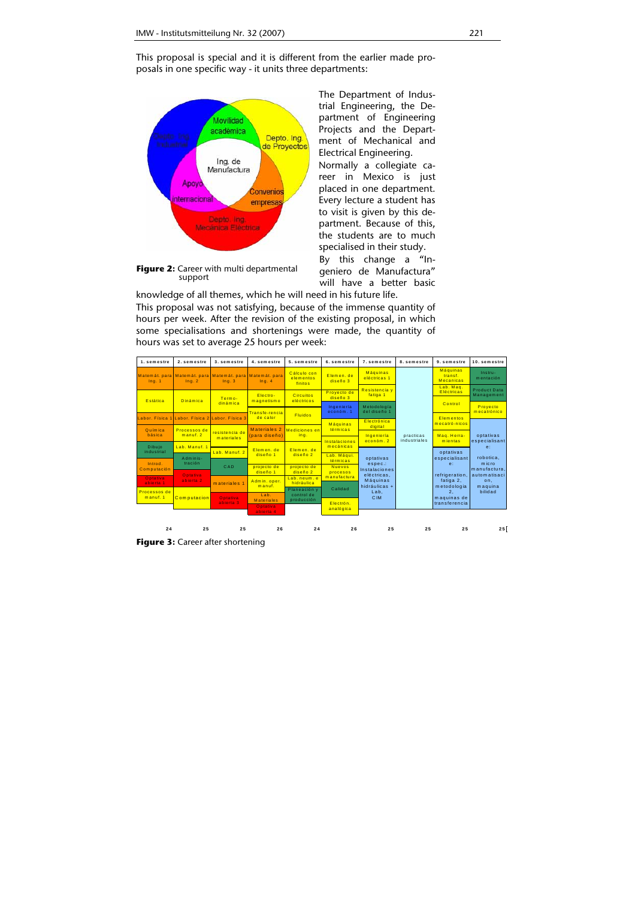This proposal is special and it is different from the earlier made proposals in one specific way - it units three departments:



The Department of Industrial Engineering, the Department of Engineering Projects and the Department of Mechanical and Electrical Engineering. Normally a collegiate career in Mexico is just placed in one department. Every lecture a student has to visit is given by this department. Because of this,

the students are to much specialised in their study. By this change a "Ingeniero de Manufactura"

**Figure 2:** Career with multi departmental support

will have a better basic knowledge of all themes, which he will need in his future life. This proposal was not satisfying, because of the immense quantity of hours per week. After the revision of the existing proposal, in which some specialisations and shortenings were made, the quantity of hours was set to average 25 hours per week:



**Figure 3:** Career after shortening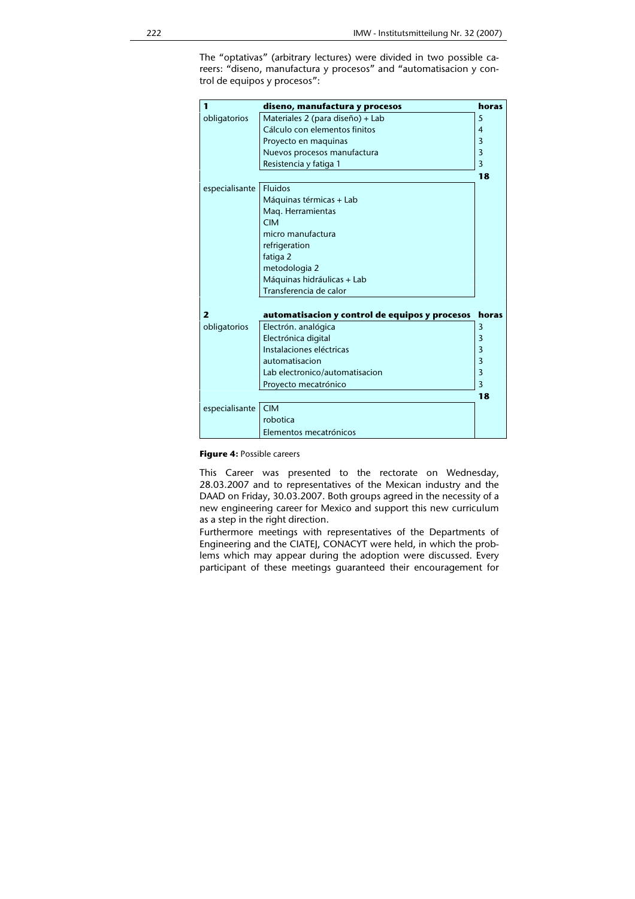The "optativas" (arbitrary lectures) were divided in two possible careers: "diseno, manufactura y procesos" and "automatisacion y control de equipos y procesos":

| 1              | diseno, manufactura y procesos                 | horas |  |  |  |  |  |
|----------------|------------------------------------------------|-------|--|--|--|--|--|
| obligatorios   | Materiales 2 (para diseño) + Lab               | 5     |  |  |  |  |  |
|                | Cálculo con elementos finitos                  | 4     |  |  |  |  |  |
|                | Proyecto en maquinas                           | 3     |  |  |  |  |  |
|                | Nuevos procesos manufactura                    | 3     |  |  |  |  |  |
|                | Resistencia y fatiga 1                         | 3     |  |  |  |  |  |
|                |                                                | 18    |  |  |  |  |  |
| especialisante | <b>Fluidos</b>                                 |       |  |  |  |  |  |
|                | Máquinas térmicas + Lab                        |       |  |  |  |  |  |
|                | Mag. Herramientas                              |       |  |  |  |  |  |
|                | <b>CIM</b>                                     |       |  |  |  |  |  |
|                | micro manufactura                              |       |  |  |  |  |  |
|                | refrigeration                                  |       |  |  |  |  |  |
|                | fatiga 2                                       |       |  |  |  |  |  |
|                | metodologia 2                                  |       |  |  |  |  |  |
|                | Máquinas hidráulicas + Lab                     |       |  |  |  |  |  |
|                | Transferencia de calor                         |       |  |  |  |  |  |
|                |                                                |       |  |  |  |  |  |
| $\mathbf{z}$   | automatisacion y control de equipos y procesos | horas |  |  |  |  |  |
| obligatorios   | Electrón. analógica                            | 3     |  |  |  |  |  |
|                | Electrónica digital                            | 3     |  |  |  |  |  |
|                | Instalaciones eléctricas                       | 3     |  |  |  |  |  |
|                | automatisacion                                 | 3     |  |  |  |  |  |
|                | Lab electronico/automatisacion                 | 3     |  |  |  |  |  |
|                | Proyecto mecatrónico                           |       |  |  |  |  |  |
|                |                                                | 18    |  |  |  |  |  |
| especialisante | <b>CIM</b>                                     |       |  |  |  |  |  |
|                | robotica                                       |       |  |  |  |  |  |
|                | Elementos mecatrónicos                         |       |  |  |  |  |  |

**Figure 4:** Possible careers

This Career was presented to the rectorate on Wednesday, 28.03.2007 and to representatives of the Mexican industry and the DAAD on Friday, 30.03.2007. Both groups agreed in the necessity of a new engineering career for Mexico and support this new curriculum as a step in the right direction.

Furthermore meetings with representatives of the Departments of Engineering and the CIATEJ, CONACYT were held, in which the problems which may appear during the adoption were discussed. Every participant of these meetings guaranteed their encouragement for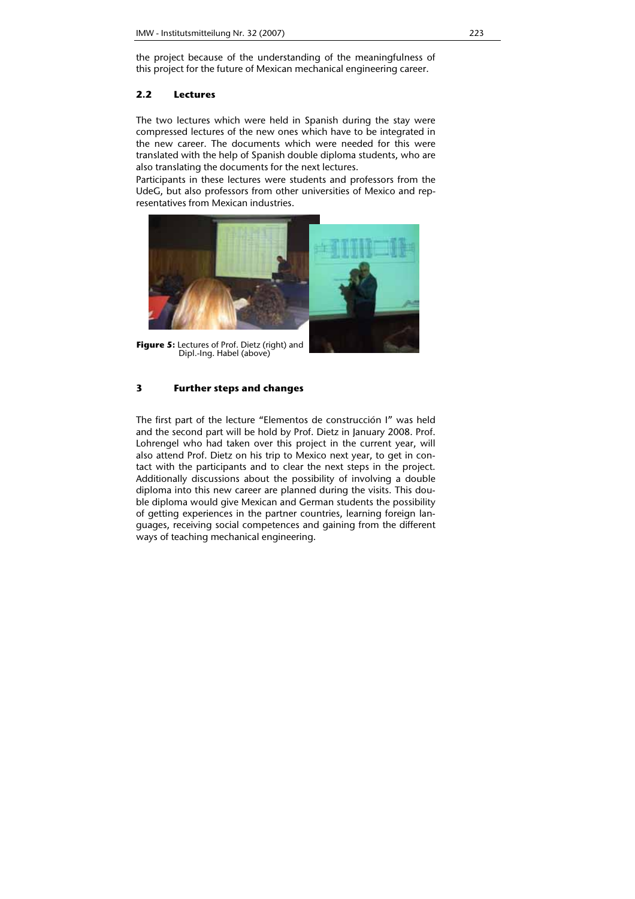the project because of the understanding of the meaningfulness of this project for the future of Mexican mechanical engineering career.

## **2.2 Lectures**

The two lectures which were held in Spanish during the stay were compressed lectures of the new ones which have to be integrated in the new career. The documents which were needed for this were translated with the help of Spanish double diploma students, who are also translating the documents for the next lectures.

Participants in these lectures were students and professors from the UdeG, but also professors from other universities of Mexico and representatives from Mexican industries.



**Figure 5:** Lectures of Prof. Dietz (right) and Dipl.-Ing. Habel (above)

# **3 Further steps and changes**

The first part of the lecture "Elementos de construcción I" was held and the second part will be hold by Prof. Dietz in January 2008. Prof. Lohrengel who had taken over this project in the current year, will also attend Prof. Dietz on his trip to Mexico next year, to get in contact with the participants and to clear the next steps in the project. Additionally discussions about the possibility of involving a double diploma into this new career are planned during the visits. This double diploma would give Mexican and German students the possibility of getting experiences in the partner countries, learning foreign languages, receiving social competences and gaining from the different ways of teaching mechanical engineering.